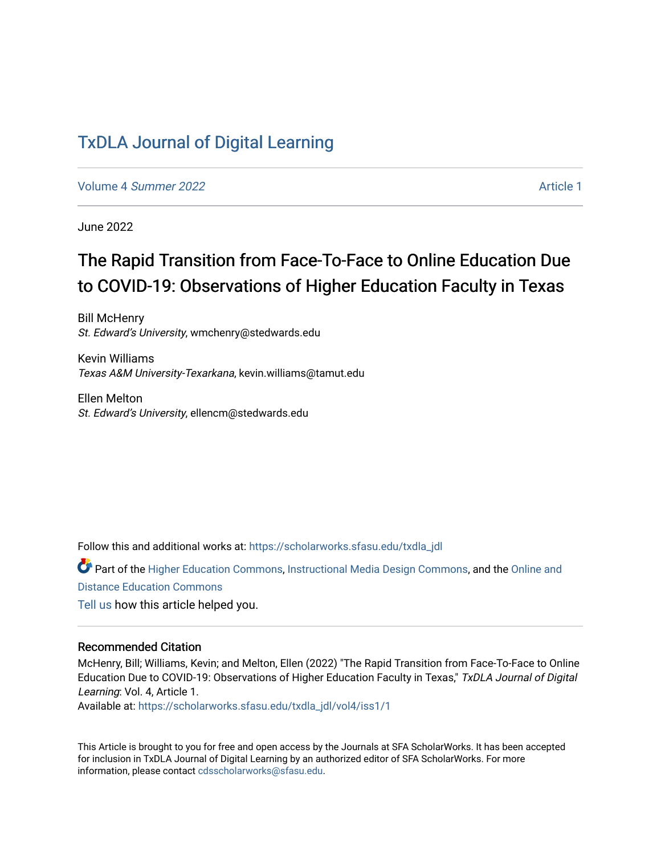# [TxDLA Journal of Digital Learning](https://scholarworks.sfasu.edu/txdla_jdl)

Volume 4 [Summer 2022](https://scholarworks.sfasu.edu/txdla_jdl/vol4) Article 1

June 2022

# The Rapid Transition from Face-To-Face to Online Education Due to COVID-19: Observations of Higher Education Faculty in Texas

Bill McHenry St. Edward's University, wmchenry@stedwards.edu

Kevin Williams Texas A&M University-Texarkana, kevin.williams@tamut.edu

Ellen Melton St. Edward's University, ellencm@stedwards.edu

Follow this and additional works at: [https://scholarworks.sfasu.edu/txdla\\_jdl](https://scholarworks.sfasu.edu/txdla_jdl?utm_source=scholarworks.sfasu.edu%2Ftxdla_jdl%2Fvol4%2Fiss1%2F1&utm_medium=PDF&utm_campaign=PDFCoverPages)

Part of the [Higher Education Commons,](https://network.bepress.com/hgg/discipline/1245?utm_source=scholarworks.sfasu.edu%2Ftxdla_jdl%2Fvol4%2Fiss1%2F1&utm_medium=PDF&utm_campaign=PDFCoverPages) [Instructional Media Design Commons,](https://network.bepress.com/hgg/discipline/795?utm_source=scholarworks.sfasu.edu%2Ftxdla_jdl%2Fvol4%2Fiss1%2F1&utm_medium=PDF&utm_campaign=PDFCoverPages) and the Online and [Distance Education Commons](https://network.bepress.com/hgg/discipline/1296?utm_source=scholarworks.sfasu.edu%2Ftxdla_jdl%2Fvol4%2Fiss1%2F1&utm_medium=PDF&utm_campaign=PDFCoverPages) [Tell us](http://sfasu.qualtrics.com/SE/?SID=SV_0qS6tdXftDLradv) how this article helped you.

#### Recommended Citation

McHenry, Bill; Williams, Kevin; and Melton, Ellen (2022) "The Rapid Transition from Face-To-Face to Online Education Due to COVID-19: Observations of Higher Education Faculty in Texas," TxDLA Journal of Digital Learning: Vol. 4, Article 1.

Available at: [https://scholarworks.sfasu.edu/txdla\\_jdl/vol4/iss1/1](https://scholarworks.sfasu.edu/txdla_jdl/vol4/iss1/1?utm_source=scholarworks.sfasu.edu%2Ftxdla_jdl%2Fvol4%2Fiss1%2F1&utm_medium=PDF&utm_campaign=PDFCoverPages)

This Article is brought to you for free and open access by the Journals at SFA ScholarWorks. It has been accepted for inclusion in TxDLA Journal of Digital Learning by an authorized editor of SFA ScholarWorks. For more information, please contact [cdsscholarworks@sfasu.edu](mailto:cdsscholarworks@sfasu.edu).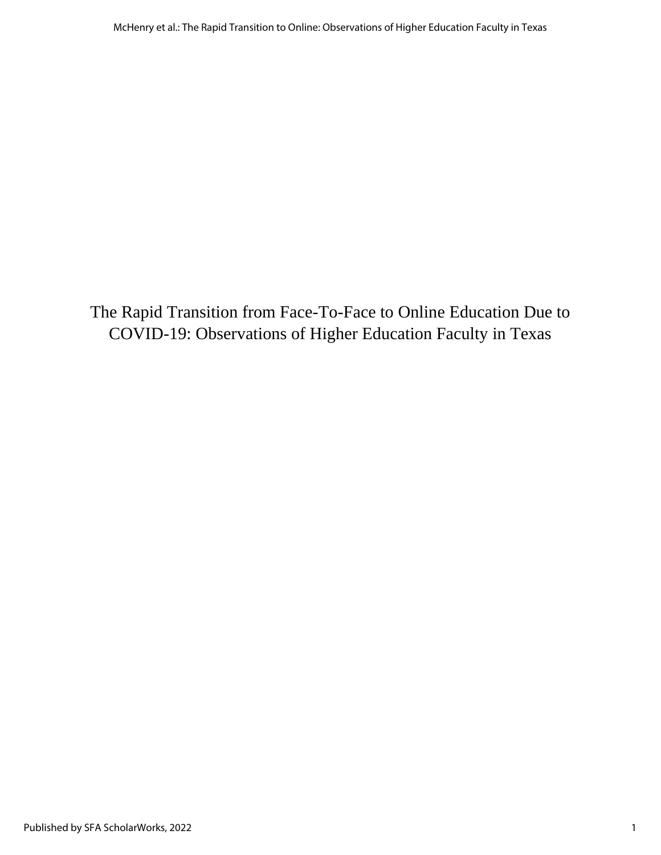The Rapid Transition from Face-To-Face to Online Education Due to COVID-19: Observations of Higher Education Faculty in Texas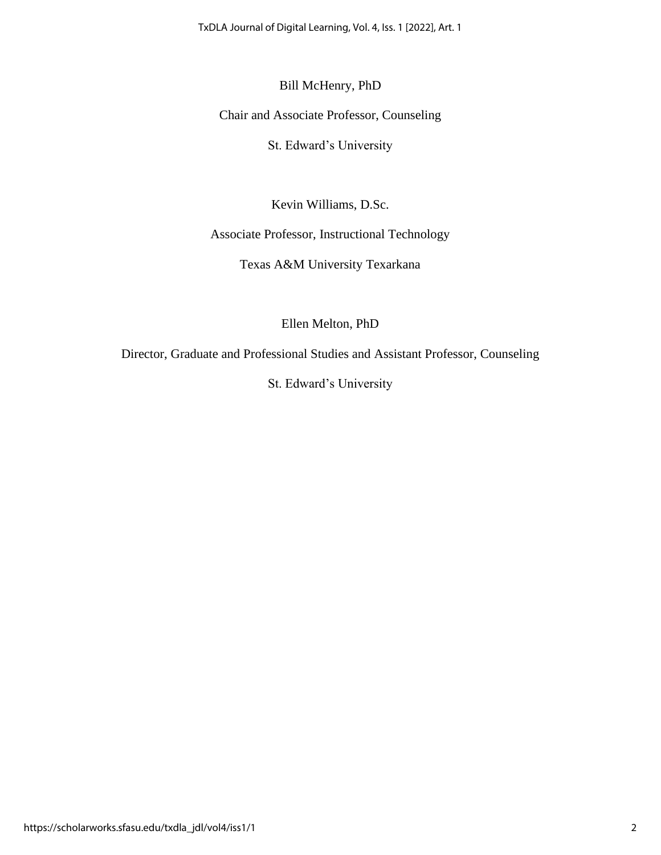TxDLA Journal of Digital Learning, Vol. 4, Iss. 1 [2022], Art. 1

# Bill McHenry, PhD

Chair and Associate Professor, Counseling

St. Edward's University

Kevin Williams, D.Sc.

Associate Professor, Instructional Technology

Texas A&M University Texarkana

Ellen Melton, PhD

Director, Graduate and Professional Studies and Assistant Professor, Counseling

St. Edward's University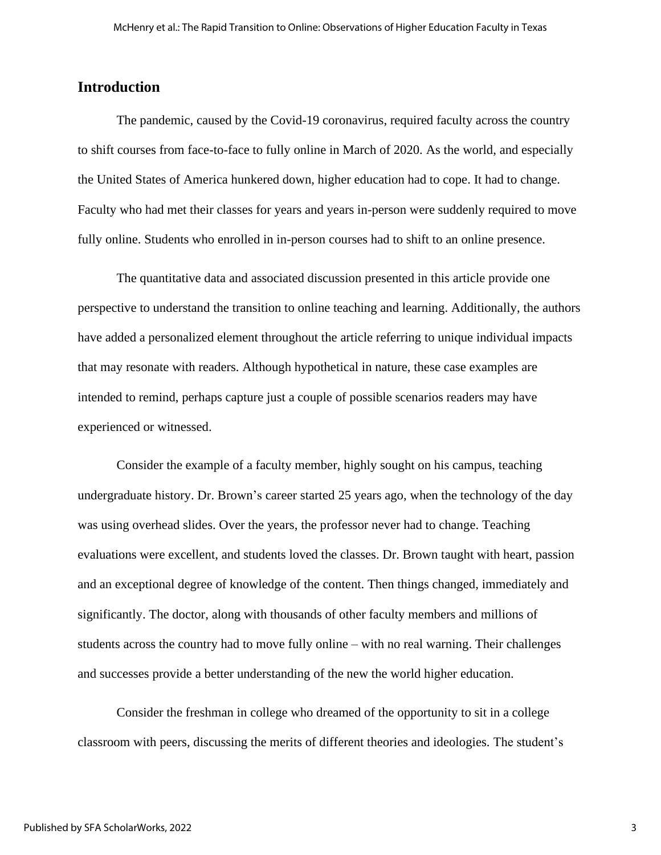### **Introduction**

The pandemic, caused by the Covid-19 coronavirus, required faculty across the country to shift courses from face-to-face to fully online in March of 2020. As the world, and especially the United States of America hunkered down, higher education had to cope. It had to change. Faculty who had met their classes for years and years in-person were suddenly required to move fully online. Students who enrolled in in-person courses had to shift to an online presence.

The quantitative data and associated discussion presented in this article provide one perspective to understand the transition to online teaching and learning. Additionally, the authors have added a personalized element throughout the article referring to unique individual impacts that may resonate with readers. Although hypothetical in nature, these case examples are intended to remind, perhaps capture just a couple of possible scenarios readers may have experienced or witnessed.

Consider the example of a faculty member, highly sought on his campus, teaching undergraduate history. Dr. Brown's career started 25 years ago, when the technology of the day was using overhead slides. Over the years, the professor never had to change. Teaching evaluations were excellent, and students loved the classes. Dr. Brown taught with heart, passion and an exceptional degree of knowledge of the content. Then things changed, immediately and significantly. The doctor, along with thousands of other faculty members and millions of students across the country had to move fully online – with no real warning. Their challenges and successes provide a better understanding of the new the world higher education.

Consider the freshman in college who dreamed of the opportunity to sit in a college classroom with peers, discussing the merits of different theories and ideologies. The student's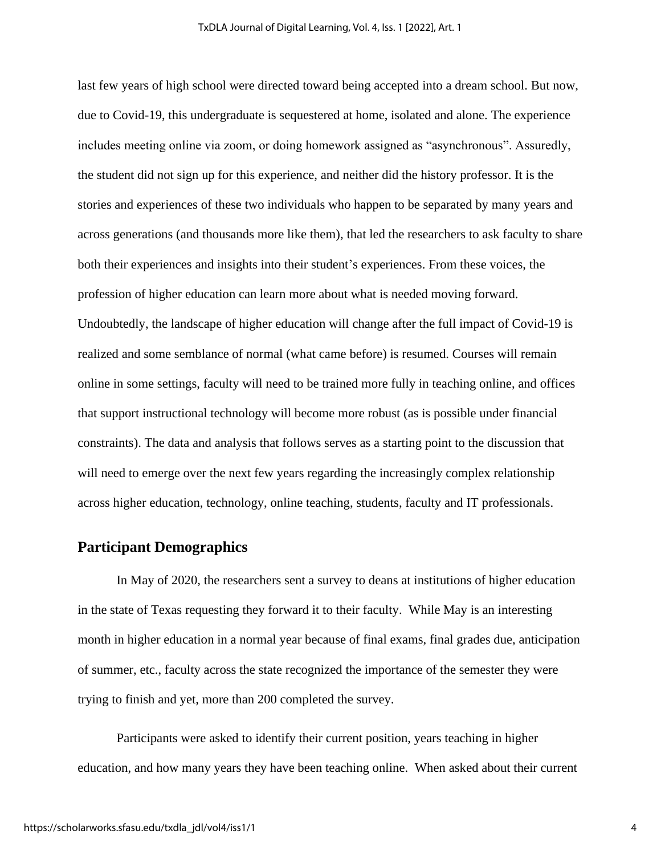last few years of high school were directed toward being accepted into a dream school. But now, due to Covid-19, this undergraduate is sequestered at home, isolated and alone. The experience includes meeting online via zoom, or doing homework assigned as "asynchronous". Assuredly, the student did not sign up for this experience, and neither did the history professor. It is the stories and experiences of these two individuals who happen to be separated by many years and across generations (and thousands more like them), that led the researchers to ask faculty to share both their experiences and insights into their student's experiences. From these voices, the profession of higher education can learn more about what is needed moving forward. Undoubtedly, the landscape of higher education will change after the full impact of Covid-19 is realized and some semblance of normal (what came before) is resumed. Courses will remain online in some settings, faculty will need to be trained more fully in teaching online, and offices that support instructional technology will become more robust (as is possible under financial constraints). The data and analysis that follows serves as a starting point to the discussion that will need to emerge over the next few years regarding the increasingly complex relationship across higher education, technology, online teaching, students, faculty and IT professionals.

# **Participant Demographics**

In May of 2020, the researchers sent a survey to deans at institutions of higher education in the state of Texas requesting they forward it to their faculty. While May is an interesting month in higher education in a normal year because of final exams, final grades due, anticipation of summer, etc., faculty across the state recognized the importance of the semester they were trying to finish and yet, more than 200 completed the survey.

Participants were asked to identify their current position, years teaching in higher education, and how many years they have been teaching online. When asked about their current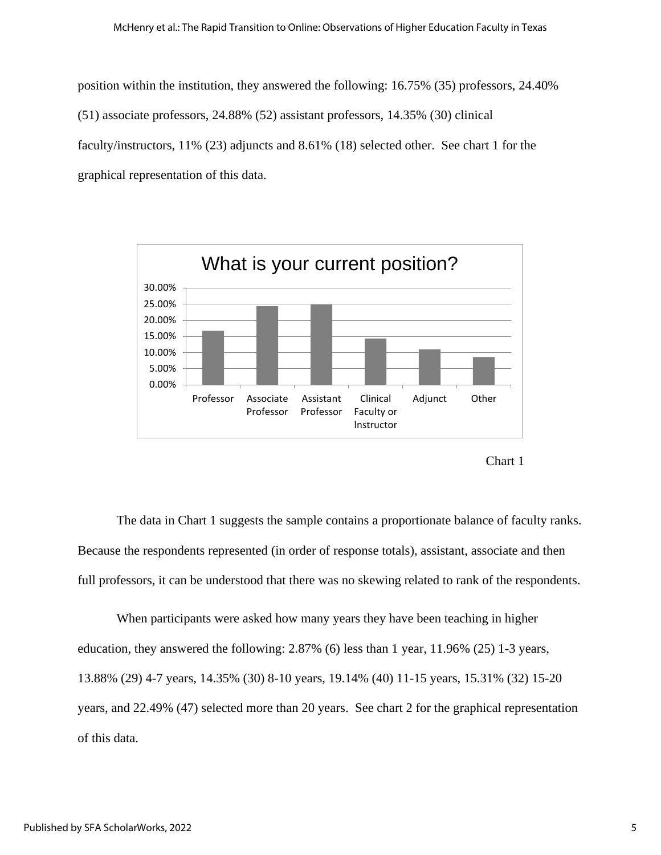position within the institution, they answered the following: 16.75% (35) professors, 24.40% (51) associate professors, 24.88% (52) assistant professors, 14.35% (30) clinical faculty/instructors, 11% (23) adjuncts and 8.61% (18) selected other. See chart 1 for the graphical representation of this data.





The data in Chart 1 suggests the sample contains a proportionate balance of faculty ranks. Because the respondents represented (in order of response totals), assistant, associate and then full professors, it can be understood that there was no skewing related to rank of the respondents.

When participants were asked how many years they have been teaching in higher education, they answered the following: 2.87% (6) less than 1 year, 11.96% (25) 1-3 years, 13.88% (29) 4-7 years, 14.35% (30) 8-10 years, 19.14% (40) 11-15 years, 15.31% (32) 15-20 years, and 22.49% (47) selected more than 20 years. See chart 2 for the graphical representation of this data.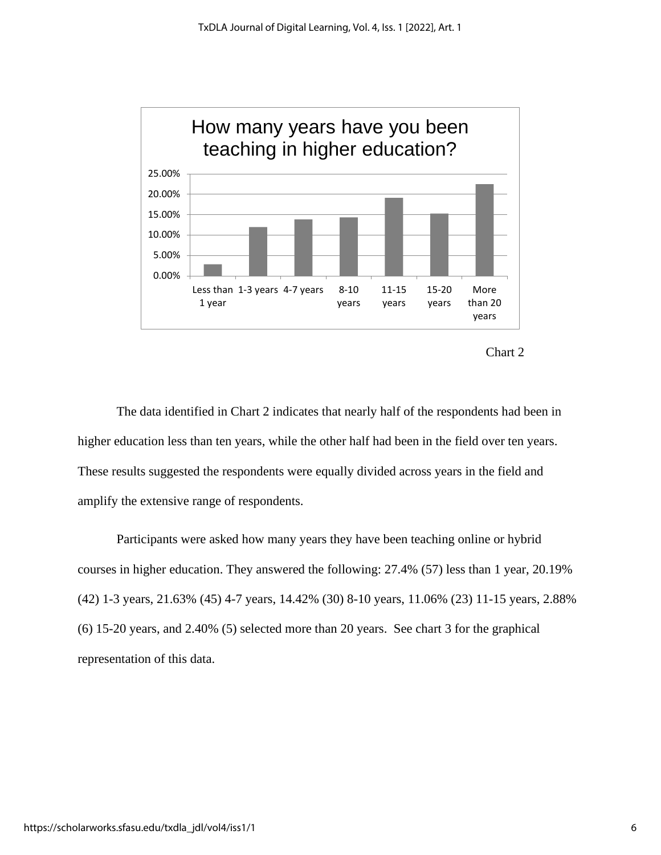



The data identified in Chart 2 indicates that nearly half of the respondents had been in higher education less than ten years, while the other half had been in the field over ten years. These results suggested the respondents were equally divided across years in the field and amplify the extensive range of respondents.

Participants were asked how many years they have been teaching online or hybrid courses in higher education. They answered the following: 27.4% (57) less than 1 year, 20.19% (42) 1-3 years, 21.63% (45) 4-7 years, 14.42% (30) 8-10 years, 11.06% (23) 11-15 years, 2.88% (6) 15-20 years, and 2.40% (5) selected more than 20 years. See chart 3 for the graphical representation of this data.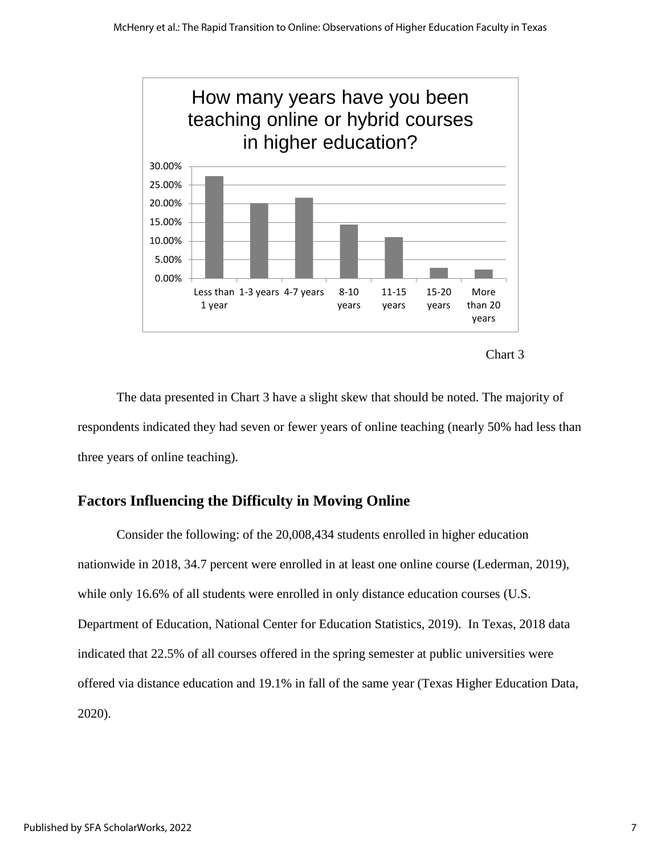



The data presented in Chart 3 have a slight skew that should be noted. The majority of respondents indicated they had seven or fewer years of online teaching (nearly 50% had less than three years of online teaching).

# **Factors Influencing the Difficulty in Moving Online**

Consider the following: of the 20,008,434 students enrolled in higher education nationwide in 2018, 34.7 percent were enrolled in at least one online course (Lederman, 2019), while only 16.6% of all students were enrolled in only distance education courses (U.S. Department of Education, National Center for Education Statistics, 2019). In Texas, 2018 data indicated that 22.5% of all courses offered in the spring semester at public universities were offered via distance education and 19.1% in fall of the same year (Texas Higher Education Data, 2020).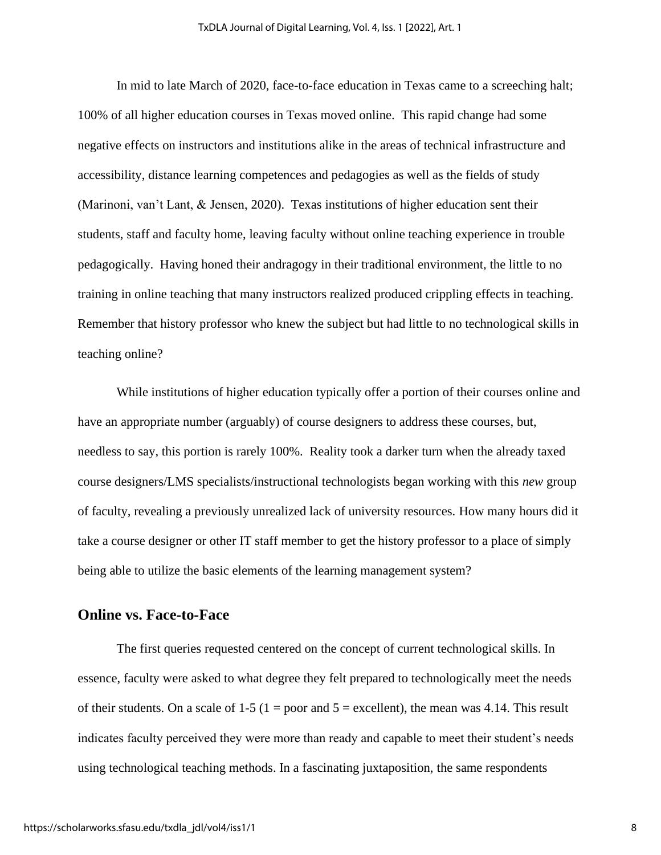In mid to late March of 2020, face-to-face education in Texas came to a screeching halt; 100% of all higher education courses in Texas moved online. This rapid change had some negative effects on instructors and institutions alike in the areas of technical infrastructure and accessibility, distance learning competences and pedagogies as well as the fields of study (Marinoni, van't Lant, & Jensen, 2020). Texas institutions of higher education sent their students, staff and faculty home, leaving faculty without online teaching experience in trouble pedagogically. Having honed their andragogy in their traditional environment, the little to no training in online teaching that many instructors realized produced crippling effects in teaching. Remember that history professor who knew the subject but had little to no technological skills in teaching online?

While institutions of higher education typically offer a portion of their courses online and have an appropriate number (arguably) of course designers to address these courses, but, needless to say, this portion is rarely 100%. Reality took a darker turn when the already taxed course designers/LMS specialists/instructional technologists began working with this *new* group of faculty, revealing a previously unrealized lack of university resources. How many hours did it take a course designer or other IT staff member to get the history professor to a place of simply being able to utilize the basic elements of the learning management system?

#### **Online vs. Face-to-Face**

The first queries requested centered on the concept of current technological skills. In essence, faculty were asked to what degree they felt prepared to technologically meet the needs of their students. On a scale of  $1-5$  ( $1 =$  poor and  $5 =$  excellent), the mean was 4.14. This result indicates faculty perceived they were more than ready and capable to meet their student's needs using technological teaching methods. In a fascinating juxtaposition, the same respondents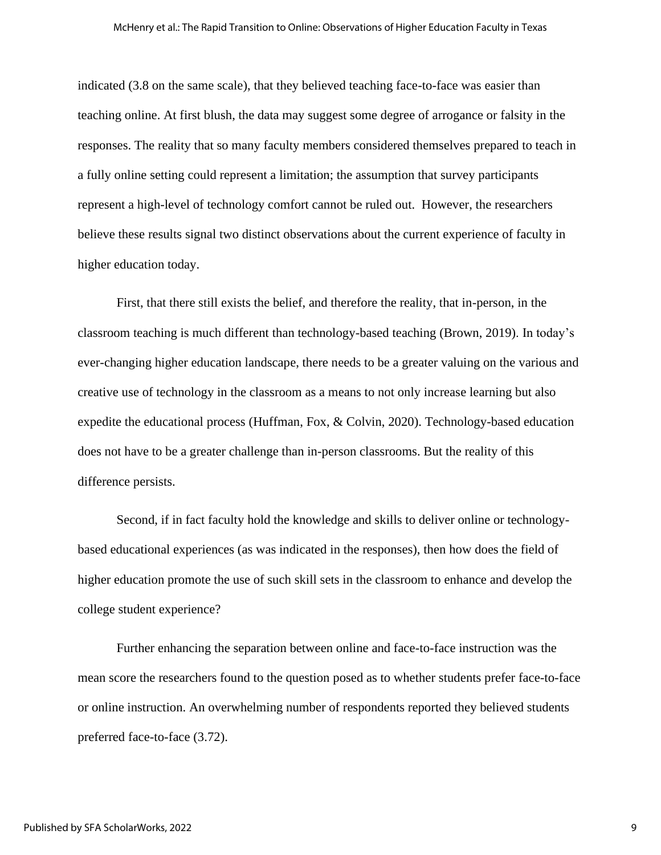indicated (3.8 on the same scale), that they believed teaching face-to-face was easier than teaching online. At first blush, the data may suggest some degree of arrogance or falsity in the responses. The reality that so many faculty members considered themselves prepared to teach in a fully online setting could represent a limitation; the assumption that survey participants represent a high-level of technology comfort cannot be ruled out. However, the researchers believe these results signal two distinct observations about the current experience of faculty in higher education today.

First, that there still exists the belief, and therefore the reality, that in-person, in the classroom teaching is much different than technology-based teaching (Brown, 2019). In today's ever-changing higher education landscape, there needs to be a greater valuing on the various and creative use of technology in the classroom as a means to not only increase learning but also expedite the educational process (Huffman, Fox, & Colvin, 2020). Technology-based education does not have to be a greater challenge than in-person classrooms. But the reality of this difference persists.

Second, if in fact faculty hold the knowledge and skills to deliver online or technologybased educational experiences (as was indicated in the responses), then how does the field of higher education promote the use of such skill sets in the classroom to enhance and develop the college student experience?

Further enhancing the separation between online and face-to-face instruction was the mean score the researchers found to the question posed as to whether students prefer face-to-face or online instruction. An overwhelming number of respondents reported they believed students preferred face-to-face (3.72).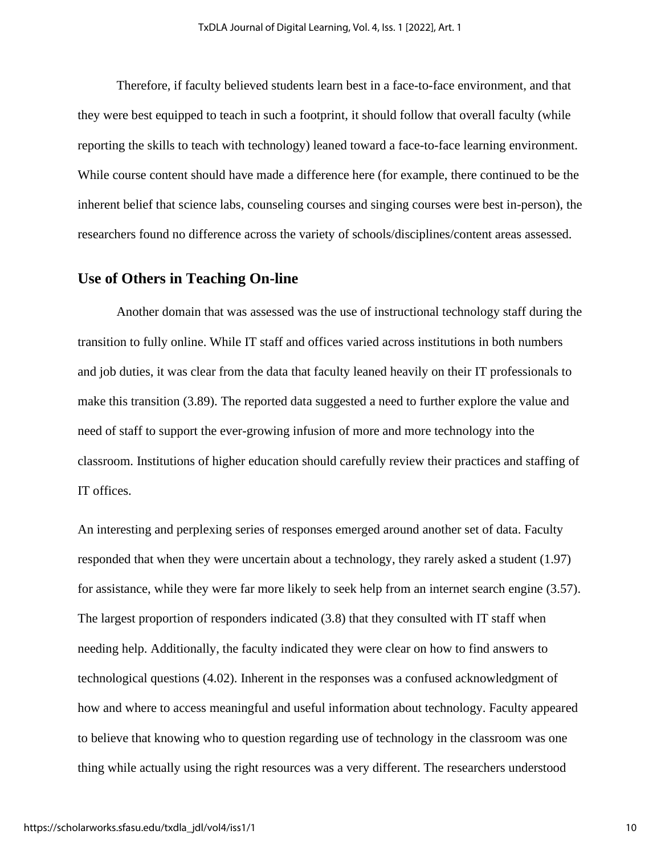Therefore, if faculty believed students learn best in a face-to-face environment, and that they were best equipped to teach in such a footprint, it should follow that overall faculty (while reporting the skills to teach with technology) leaned toward a face-to-face learning environment. While course content should have made a difference here (for example, there continued to be the inherent belief that science labs, counseling courses and singing courses were best in-person), the researchers found no difference across the variety of schools/disciplines/content areas assessed.

#### **Use of Others in Teaching On-line**

Another domain that was assessed was the use of instructional technology staff during the transition to fully online. While IT staff and offices varied across institutions in both numbers and job duties, it was clear from the data that faculty leaned heavily on their IT professionals to make this transition (3.89). The reported data suggested a need to further explore the value and need of staff to support the ever-growing infusion of more and more technology into the classroom. Institutions of higher education should carefully review their practices and staffing of IT offices.

An interesting and perplexing series of responses emerged around another set of data. Faculty responded that when they were uncertain about a technology, they rarely asked a student (1.97) for assistance, while they were far more likely to seek help from an internet search engine (3.57). The largest proportion of responders indicated (3.8) that they consulted with IT staff when needing help. Additionally, the faculty indicated they were clear on how to find answers to technological questions (4.02). Inherent in the responses was a confused acknowledgment of how and where to access meaningful and useful information about technology. Faculty appeared to believe that knowing who to question regarding use of technology in the classroom was one thing while actually using the right resources was a very different. The researchers understood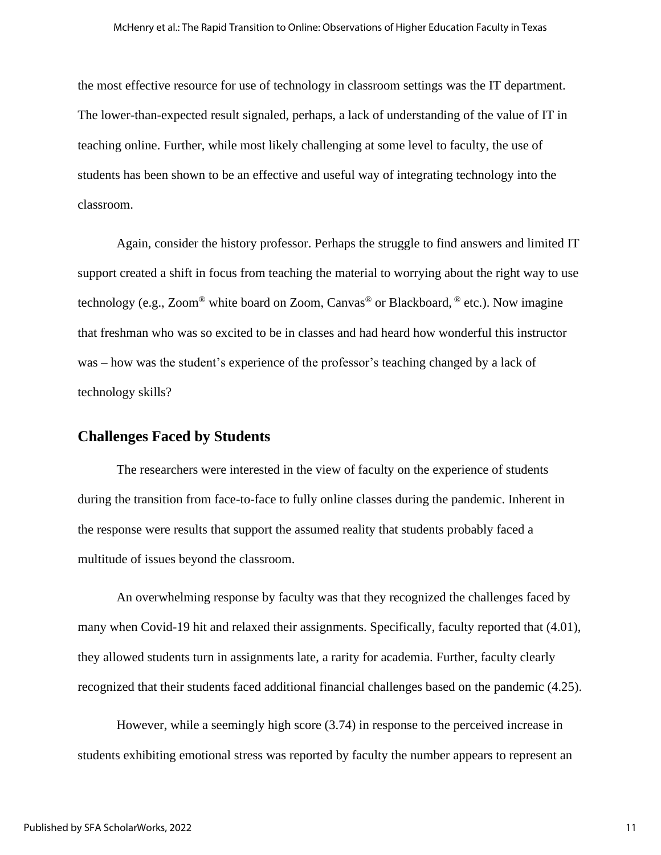the most effective resource for use of technology in classroom settings was the IT department. The lower-than-expected result signaled, perhaps, a lack of understanding of the value of IT in teaching online. Further, while most likely challenging at some level to faculty, the use of students has been shown to be an effective and useful way of integrating technology into the classroom.

Again, consider the history professor. Perhaps the struggle to find answers and limited IT support created a shift in focus from teaching the material to worrying about the right way to use technology (e.g., Zoom<sup>®</sup> white board on Zoom, Canvas<sup>®</sup> or Blackboard, <sup>®</sup> etc.). Now imagine that freshman who was so excited to be in classes and had heard how wonderful this instructor was – how was the student's experience of the professor's teaching changed by a lack of technology skills?

#### **Challenges Faced by Students**

The researchers were interested in the view of faculty on the experience of students during the transition from face-to-face to fully online classes during the pandemic. Inherent in the response were results that support the assumed reality that students probably faced a multitude of issues beyond the classroom.

An overwhelming response by faculty was that they recognized the challenges faced by many when Covid-19 hit and relaxed their assignments. Specifically, faculty reported that (4.01), they allowed students turn in assignments late, a rarity for academia. Further, faculty clearly recognized that their students faced additional financial challenges based on the pandemic (4.25).

However, while a seemingly high score (3.74) in response to the perceived increase in students exhibiting emotional stress was reported by faculty the number appears to represent an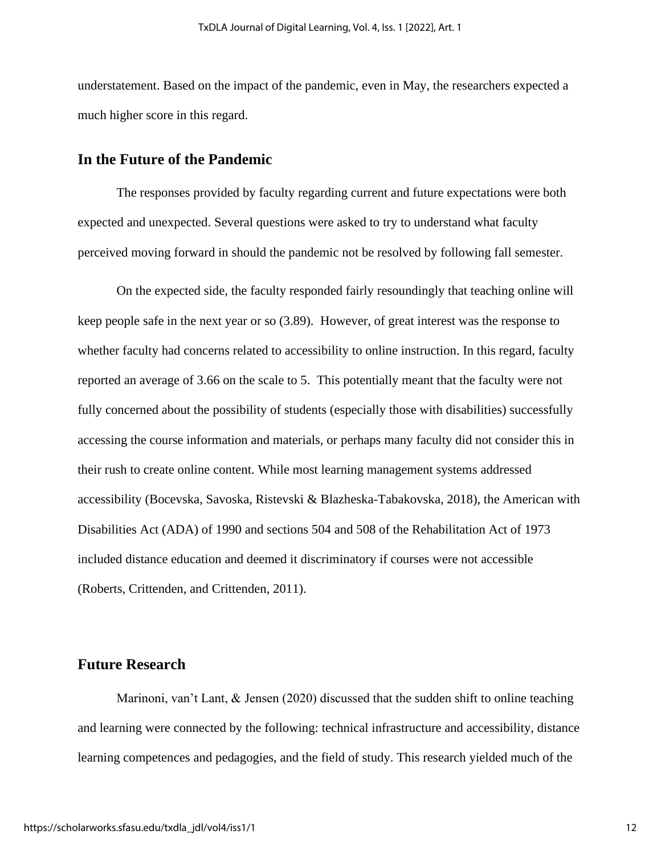understatement. Based on the impact of the pandemic, even in May, the researchers expected a much higher score in this regard.

#### **In the Future of the Pandemic**

The responses provided by faculty regarding current and future expectations were both expected and unexpected. Several questions were asked to try to understand what faculty perceived moving forward in should the pandemic not be resolved by following fall semester.

On the expected side, the faculty responded fairly resoundingly that teaching online will keep people safe in the next year or so (3.89). However, of great interest was the response to whether faculty had concerns related to accessibility to online instruction. In this regard, faculty reported an average of 3.66 on the scale to 5. This potentially meant that the faculty were not fully concerned about the possibility of students (especially those with disabilities) successfully accessing the course information and materials, or perhaps many faculty did not consider this in their rush to create online content. While most learning management systems addressed accessibility (Bocevska, Savoska, Ristevski & Blazheska-Tabakovska, 2018), the American with Disabilities Act (ADA) of 1990 and sections 504 and 508 of the Rehabilitation Act of 1973 included distance education and deemed it discriminatory if courses were not accessible (Roberts, Crittenden, and Crittenden, 2011).

#### **Future Research**

Marinoni, van't Lant, & Jensen (2020) discussed that the sudden shift to online teaching and learning were connected by the following: technical infrastructure and accessibility, distance learning competences and pedagogies, and the field of study. This research yielded much of the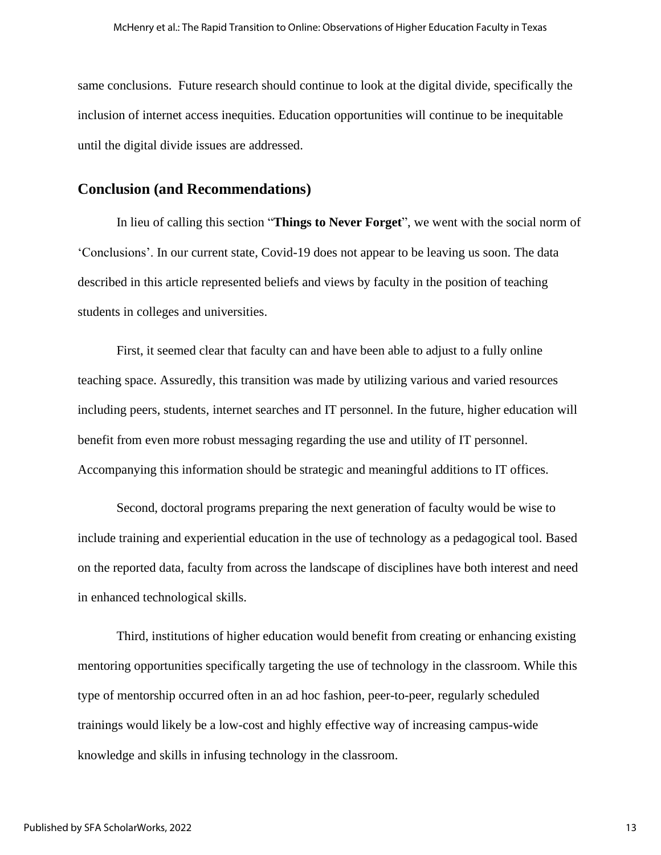same conclusions. Future research should continue to look at the digital divide, specifically the inclusion of internet access inequities. Education opportunities will continue to be inequitable until the digital divide issues are addressed.

#### **Conclusion (and Recommendations)**

In lieu of calling this section "**Things to Never Forget**", we went with the social norm of 'Conclusions'. In our current state, Covid-19 does not appear to be leaving us soon. The data described in this article represented beliefs and views by faculty in the position of teaching students in colleges and universities.

First, it seemed clear that faculty can and have been able to adjust to a fully online teaching space. Assuredly, this transition was made by utilizing various and varied resources including peers, students, internet searches and IT personnel. In the future, higher education will benefit from even more robust messaging regarding the use and utility of IT personnel. Accompanying this information should be strategic and meaningful additions to IT offices.

Second, doctoral programs preparing the next generation of faculty would be wise to include training and experiential education in the use of technology as a pedagogical tool. Based on the reported data, faculty from across the landscape of disciplines have both interest and need in enhanced technological skills.

Third, institutions of higher education would benefit from creating or enhancing existing mentoring opportunities specifically targeting the use of technology in the classroom. While this type of mentorship occurred often in an ad hoc fashion, peer-to-peer, regularly scheduled trainings would likely be a low-cost and highly effective way of increasing campus-wide knowledge and skills in infusing technology in the classroom.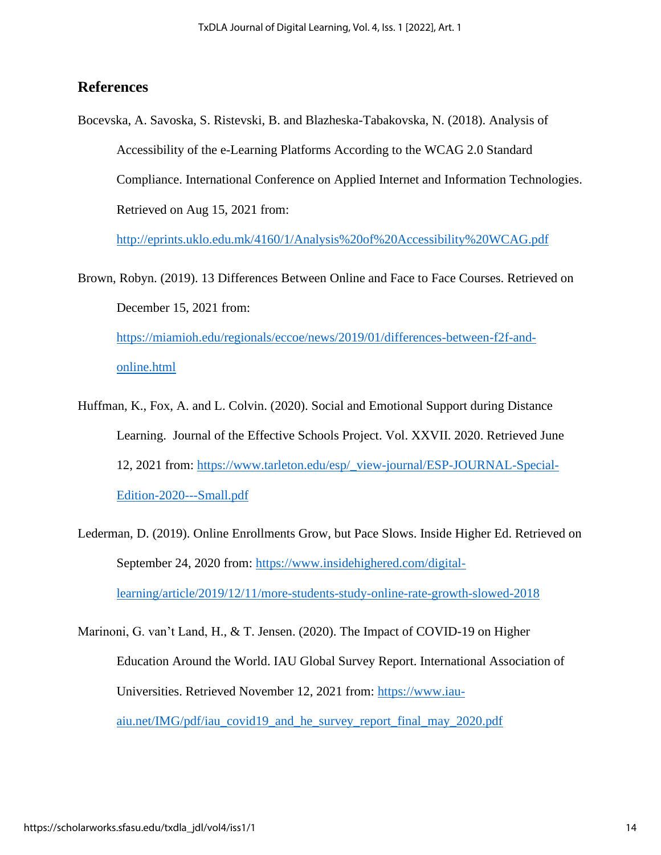# **References**

Bocevska, A. Savoska, S. Ristevski, B. and Blazheska-Tabakovska, N. (2018). Analysis of Accessibility of the e-Learning Platforms According to the WCAG 2.0 Standard Compliance. International Conference on Applied Internet and Information Technologies. Retrieved on Aug 15, 2021 from:

<http://eprints.uklo.edu.mk/4160/1/Analysis%20of%20Accessibility%20WCAG.pdf>

Brown, Robyn. (2019). 13 Differences Between Online and Face to Face Courses. Retrieved on December 15, 2021 from: [https://miamioh.edu/regionals/eccoe/news/2019/01/differences-between-f2f-and](https://miamioh.edu/regionals/eccoe/news/2019/01/differences-between-f2f-and-online.html)[online.html](https://miamioh.edu/regionals/eccoe/news/2019/01/differences-between-f2f-and-online.html)

- Huffman, K., Fox, A. and L. Colvin. (2020). Social and Emotional Support during Distance Learning. Journal of the Effective Schools Project. Vol. XXVII. 2020. Retrieved June 12, 2021 from: [https://www.tarleton.edu/esp/\\_view-journal/ESP-JOURNAL-Special-](https://www.tarleton.edu/esp/_view-journal/ESP-JOURNAL-Special-Edition-2020---Small.pdf)[Edition-2020---Small.pdf](https://www.tarleton.edu/esp/_view-journal/ESP-JOURNAL-Special-Edition-2020---Small.pdf)
- Lederman, D. (2019). Online Enrollments Grow, but Pace Slows. Inside Higher Ed. Retrieved on September 24, 2020 from: [https://www.insidehighered.com/digital](https://www.insidehighered.com/digital-learning/article/2019/12/11/more-students-study-online-rate-growth-slowed-2018)[learning/article/2019/12/11/more-students-study-online-rate-growth-slowed-2018](https://www.insidehighered.com/digital-learning/article/2019/12/11/more-students-study-online-rate-growth-slowed-2018)

Marinoni, G. van't Land, H., & T. Jensen. (2020). The Impact of COVID-19 on Higher Education Around the World. IAU Global Survey Report. International Association of Universities. Retrieved November 12, 2021 from: [https://www.iau](https://www.iau-aiu.net/IMG/pdf/iau_covid19_and_he_survey_report_final_may_2020.pdf)[aiu.net/IMG/pdf/iau\\_covid19\\_and\\_he\\_survey\\_report\\_final\\_may\\_2020.pdf](https://www.iau-aiu.net/IMG/pdf/iau_covid19_and_he_survey_report_final_may_2020.pdf)